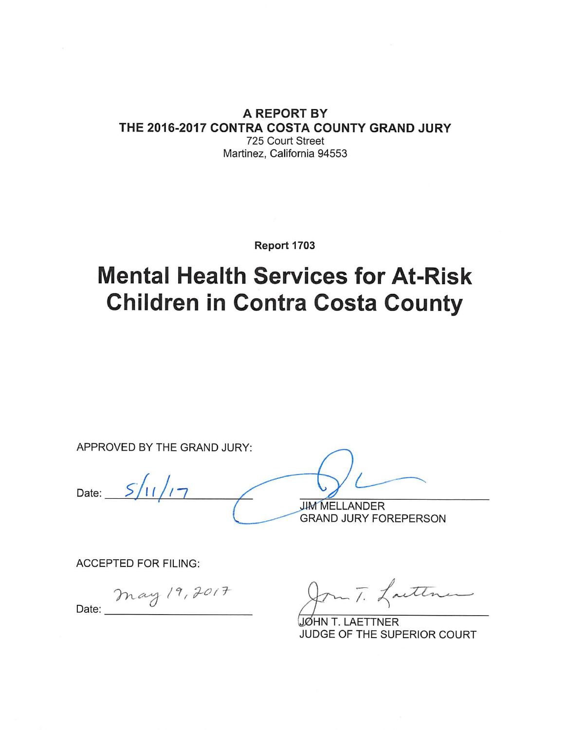#### A REPORT BY THE 2016-2017 CONTRA COSTA COUNTY GRAND JURY 725 Court Street Martinez, California 94553

Report 1703

# **Mental Health Services for At-Risk Children in Contra Costa County**

APPROVED BY THE GRAND JURY:  $S/11/1-$ Date: **JIM MELLANDER GRAND JURY FOREPERSON** 

**ACCEPTED FOR FILING:** 

May 19, 2017 Date:

m T. Laiten

JØHN T. LAETTNER JUDGE OF THE SUPERIOR COURT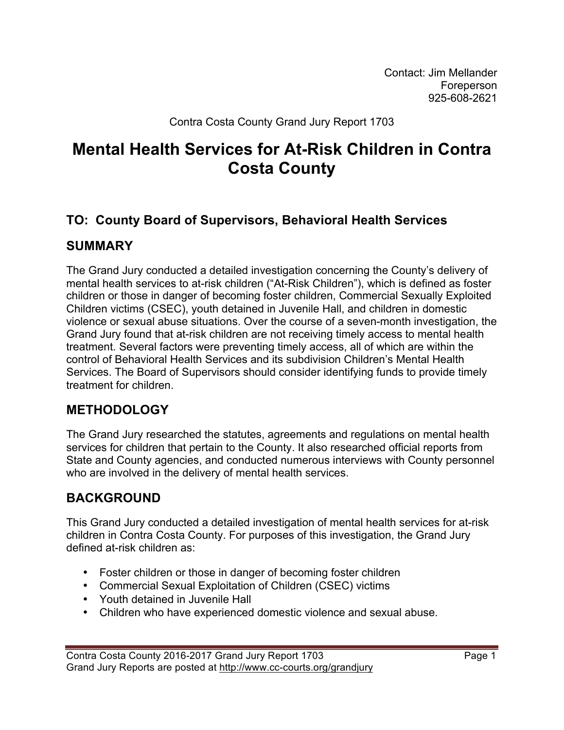Contact: Jim Mellander Foreperson 925-608-2621

Contra Costa County Grand Jury Report 1703

## **Mental Health Services for At-Risk Children in Contra Costa County**

## **TO: County Board of Supervisors, Behavioral Health Services**

## **SUMMARY**

The Grand Jury conducted a detailed investigation concerning the County's delivery of mental health services to at-risk children ("At-Risk Children"), which is defined as foster children or those in danger of becoming foster children, Commercial Sexually Exploited Children victims (CSEC), youth detained in Juvenile Hall, and children in domestic violence or sexual abuse situations. Over the course of a seven-month investigation, the Grand Jury found that at-risk children are not receiving timely access to mental health treatment. Several factors were preventing timely access, all of which are within the control of Behavioral Health Services and its subdivision Children's Mental Health Services. The Board of Supervisors should consider identifying funds to provide timely treatment for children.

## **METHODOLOGY**

The Grand Jury researched the statutes, agreements and regulations on mental health services for children that pertain to the County. It also researched official reports from State and County agencies, and conducted numerous interviews with County personnel who are involved in the delivery of mental health services.

## **BACKGROUND**

This Grand Jury conducted a detailed investigation of mental health services for at-risk children in Contra Costa County. For purposes of this investigation, the Grand Jury defined at-risk children as:

- Foster children or those in danger of becoming foster children
- Commercial Sexual Exploitation of Children (CSEC) victims
- Youth detained in Juvenile Hall
- Children who have experienced domestic violence and sexual abuse.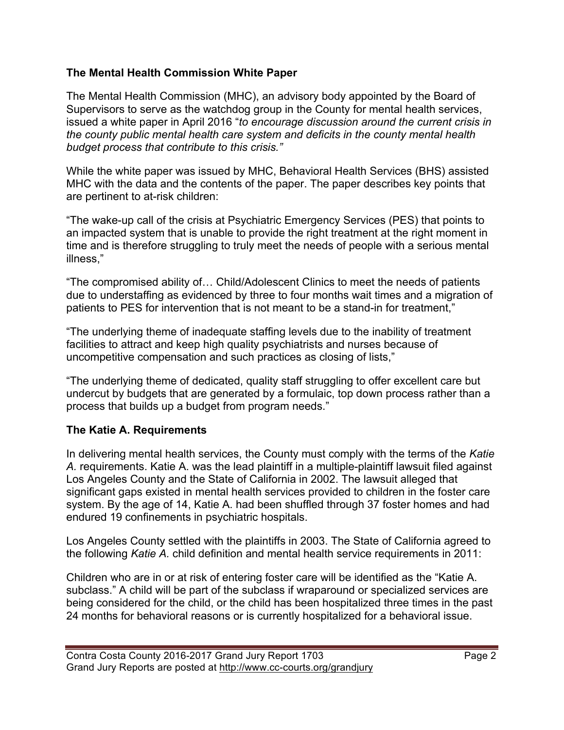#### **The Mental Health Commission White Paper**

The Mental Health Commission (MHC), an advisory body appointed by the Board of Supervisors to serve as the watchdog group in the County for mental health services, issued a white paper in April 2016 "*to encourage discussion around the current crisis in the county public mental health care system and deficits in the county mental health budget process that contribute to this crisis."* 

While the white paper was issued by MHC, Behavioral Health Services (BHS) assisted MHC with the data and the contents of the paper. The paper describes key points that are pertinent to at-risk children:

"The wake-up call of the crisis at Psychiatric Emergency Services (PES) that points to an impacted system that is unable to provide the right treatment at the right moment in time and is therefore struggling to truly meet the needs of people with a serious mental illness,"

"The compromised ability of… Child/Adolescent Clinics to meet the needs of patients due to understaffing as evidenced by three to four months wait times and a migration of patients to PES for intervention that is not meant to be a stand-in for treatment,"

"The underlying theme of inadequate staffing levels due to the inability of treatment facilities to attract and keep high quality psychiatrists and nurses because of uncompetitive compensation and such practices as closing of lists,"

"The underlying theme of dedicated, quality staff struggling to offer excellent care but undercut by budgets that are generated by a formulaic, top down process rather than a process that builds up a budget from program needs."

### **The Katie A. Requirements**

In delivering mental health services, the County must comply with the terms of the *Katie A.* requirements. Katie A. was the lead plaintiff in a multiple-plaintiff lawsuit filed against Los Angeles County and the State of California in 2002. The lawsuit alleged that significant gaps existed in mental health services provided to children in the foster care system. By the age of 14, Katie A. had been shuffled through 37 foster homes and had endured 19 confinements in psychiatric hospitals.

Los Angeles County settled with the plaintiffs in 2003. The State of California agreed to the following *Katie A.* child definition and mental health service requirements in 2011:

Children who are in or at risk of entering foster care will be identified as the "Katie A. subclass." A child will be part of the subclass if wraparound or specialized services are being considered for the child, or the child has been hospitalized three times in the past 24 months for behavioral reasons or is currently hospitalized for a behavioral issue.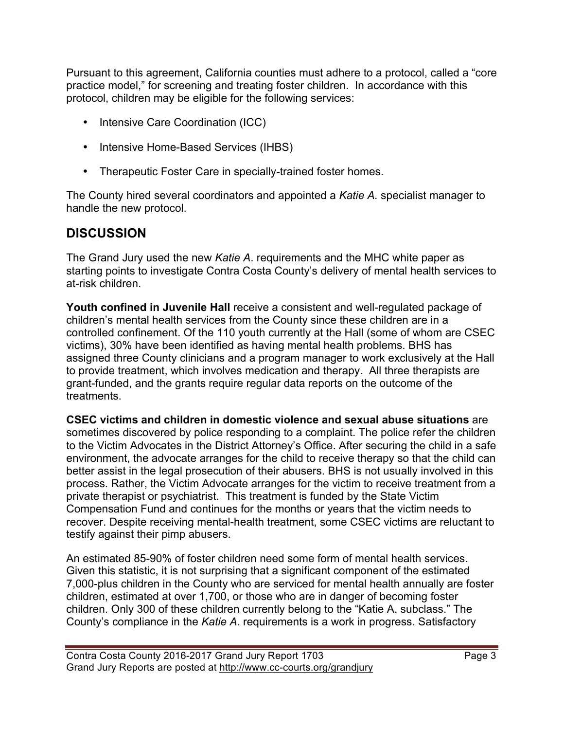Pursuant to this agreement, California counties must adhere to a protocol, called a "core practice model," for screening and treating foster children. In accordance with this protocol, children may be eligible for the following services:

- Intensive Care Coordination (ICC)
- Intensive Home-Based Services (IHBS)
- Therapeutic Foster Care in specially-trained foster homes.

The County hired several coordinators and appointed a *Katie A.* specialist manager to handle the new protocol.

## **DISCUSSION**

The Grand Jury used the new *Katie A*. requirements and the MHC white paper as starting points to investigate Contra Costa County's delivery of mental health services to at-risk children.

**Youth confined in Juvenile Hall** receive a consistent and well-regulated package of children's mental health services from the County since these children are in a controlled confinement. Of the 110 youth currently at the Hall (some of whom are CSEC victims), 30% have been identified as having mental health problems. BHS has assigned three County clinicians and a program manager to work exclusively at the Hall to provide treatment, which involves medication and therapy. All three therapists are grant-funded, and the grants require regular data reports on the outcome of the treatments.

**CSEC victims and children in domestic violence and sexual abuse situations** are sometimes discovered by police responding to a complaint. The police refer the children to the Victim Advocates in the District Attorney's Office. After securing the child in a safe environment, the advocate arranges for the child to receive therapy so that the child can better assist in the legal prosecution of their abusers. BHS is not usually involved in this process. Rather, the Victim Advocate arranges for the victim to receive treatment from a private therapist or psychiatrist. This treatment is funded by the State Victim Compensation Fund and continues for the months or years that the victim needs to recover. Despite receiving mental-health treatment, some CSEC victims are reluctant to testify against their pimp abusers.

An estimated 85-90% of foster children need some form of mental health services. Given this statistic, it is not surprising that a significant component of the estimated 7,000-plus children in the County who are serviced for mental health annually are foster children, estimated at over 1,700, or those who are in danger of becoming foster children. Only 300 of these children currently belong to the "Katie A. subclass." The County's compliance in the *Katie A*. requirements is a work in progress. Satisfactory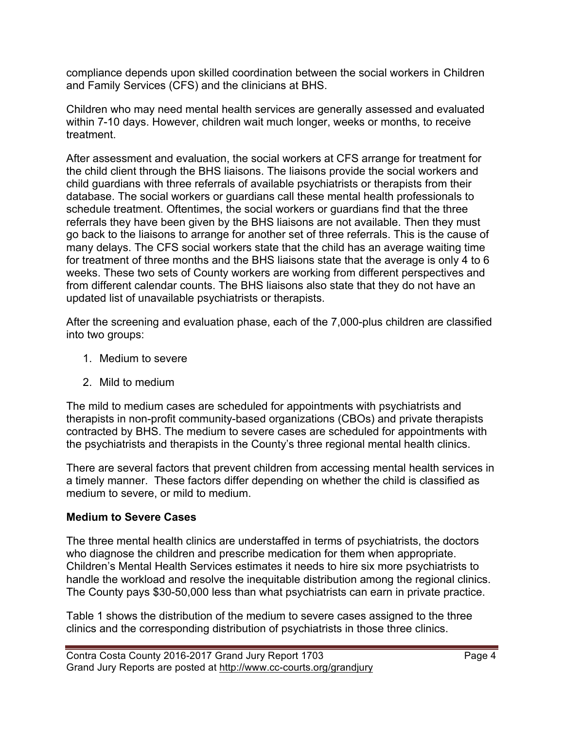compliance depends upon skilled coordination between the social workers in Children and Family Services (CFS) and the clinicians at BHS.

Children who may need mental health services are generally assessed and evaluated within 7-10 days. However, children wait much longer, weeks or months, to receive treatment.

After assessment and evaluation, the social workers at CFS arrange for treatment for the child client through the BHS liaisons. The liaisons provide the social workers and child guardians with three referrals of available psychiatrists or therapists from their database. The social workers or guardians call these mental health professionals to schedule treatment. Oftentimes, the social workers or guardians find that the three referrals they have been given by the BHS liaisons are not available. Then they must go back to the liaisons to arrange for another set of three referrals. This is the cause of many delays. The CFS social workers state that the child has an average waiting time for treatment of three months and the BHS liaisons state that the average is only 4 to 6 weeks. These two sets of County workers are working from different perspectives and from different calendar counts. The BHS liaisons also state that they do not have an updated list of unavailable psychiatrists or therapists.

After the screening and evaluation phase, each of the 7,000-plus children are classified into two groups:

- 1. Medium to severe
- 2. Mild to medium

The mild to medium cases are scheduled for appointments with psychiatrists and therapists in non-profit community-based organizations (CBOs) and private therapists contracted by BHS. The medium to severe cases are scheduled for appointments with the psychiatrists and therapists in the County's three regional mental health clinics.

There are several factors that prevent children from accessing mental health services in a timely manner. These factors differ depending on whether the child is classified as medium to severe, or mild to medium.

### **Medium to Severe Cases**

The three mental health clinics are understaffed in terms of psychiatrists, the doctors who diagnose the children and prescribe medication for them when appropriate. Children's Mental Health Services estimates it needs to hire six more psychiatrists to handle the workload and resolve the inequitable distribution among the regional clinics. The County pays \$30-50,000 less than what psychiatrists can earn in private practice.

Table 1 shows the distribution of the medium to severe cases assigned to the three clinics and the corresponding distribution of psychiatrists in those three clinics.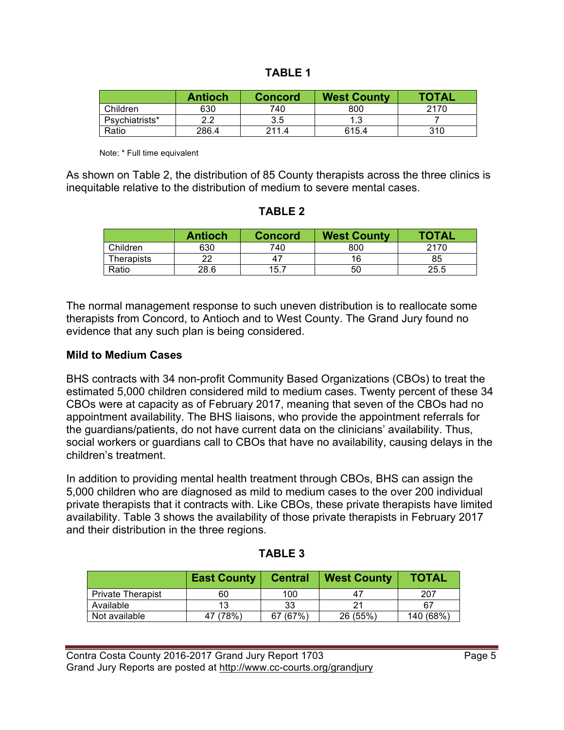| о<br>∸ LJ L |  |
|-------------|--|
|             |  |

|                | <b>Antioch</b> | <b>Concord</b> | <b>West County</b> | <b>TOTAL</b> |
|----------------|----------------|----------------|--------------------|--------------|
| Children       | 630            | 740            | 800                | 2170         |
| Psychiatrists* | 2.2            | 3.5            |                    |              |
| Ratio          | 286.4          | 211.4          | 615.4              | 310          |

Note: \* Full time equivalent

As shown on Table 2, the distribution of 85 County therapists across the three clinics is inequitable relative to the distribution of medium to severe mental cases.

#### **TABLE 2**

|            | <b>Antioch</b> | <b>Concord</b> | <b>West County</b> | <b>TOTAL</b> |
|------------|----------------|----------------|--------------------|--------------|
| Children   | 630            | 740            | 800                | 2170         |
| Therapists | ົ              | 4 <sub>i</sub> | 16                 | 85           |
| Ratio      | 28.6           | 15.7           | 50                 | 25.5         |

The normal management response to such uneven distribution is to reallocate some therapists from Concord, to Antioch and to West County. The Grand Jury found no evidence that any such plan is being considered.

#### **Mild to Medium Cases**

BHS contracts with 34 non-profit Community Based Organizations (CBOs) to treat the estimated 5,000 children considered mild to medium cases. Twenty percent of these 34 CBOs were at capacity as of February 2017, meaning that seven of the CBOs had no appointment availability. The BHS liaisons, who provide the appointment referrals for the guardians/patients, do not have current data on the clinicians' availability. Thus, social workers or guardians call to CBOs that have no availability, causing delays in the children's treatment.

In addition to providing mental health treatment through CBOs, BHS can assign the 5,000 children who are diagnosed as mild to medium cases to the over 200 individual private therapists that it contracts with. Like CBOs, these private therapists have limited availability. Table 3 shows the availability of those private therapists in February 2017 and their distribution in the three regions.

|                          | <b>East County</b> | <b>Central</b> | <b>West County</b> | <b>TOTAL</b> |
|--------------------------|--------------------|----------------|--------------------|--------------|
| <b>Private Therapist</b> | 60                 | 100            |                    | 207          |
| Available                |                    | 33             |                    | 67           |
| Not available            | 47 (78%)           | 67 (67%)       | 26 (55%)           | 140 (68%)    |

#### **TABLE 3**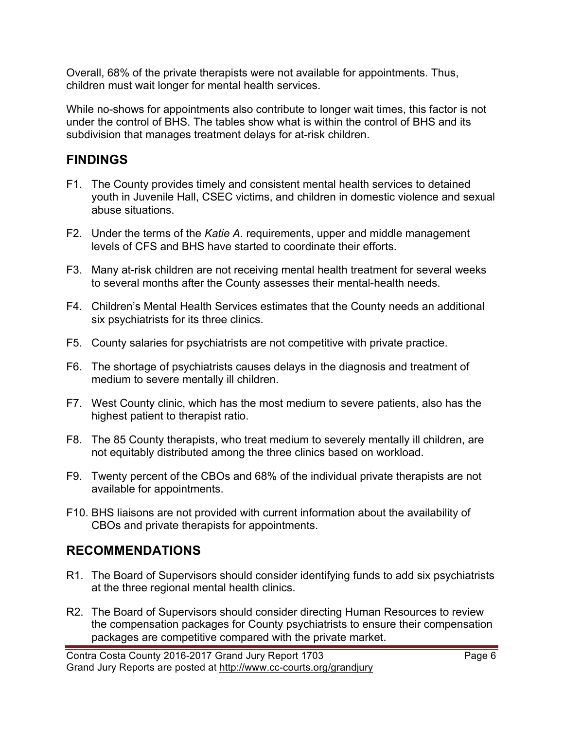Overall, 68% of the private therapists were not available for appointments. Thus, children must wait longer for mental health services.

While no-shows for appointments also contribute to longer wait times, this factor is not under the control of BHS. The tables show what is within the control of BHS and its subdivision that manages treatment delays for at-risk children.

## **FINDINGS**

- F1. The County provides timely and consistent mental health services to detained youth in Juvenile Hall, CSEC victims, and children in domestic violence and sexual abuse situations.
- F2. Under the terms of the *Katie A.* requirements, upper and middle management levels of CFS and BHS have started to coordinate their efforts.
- F3. Many at-risk children are not receiving mental health treatment for several weeks to several months after the County assesses their mental-health needs.
- F4. Children's Mental Health Services estimates that the County needs an additional six psychiatrists for its three clinics.
- F5. County salaries for psychiatrists are not competitive with private practice.
- F6. The shortage of psychiatrists causes delays in the diagnosis and treatment of medium to severe mentally ill children.
- F7. West County clinic, which has the most medium to severe patients, also has the highest patient to therapist ratio.
- F8. The 85 County therapists, who treat medium to severely mentally ill children, are not equitably distributed among the three clinics based on workload.
- F9. Twenty percent of the CBOs and 68% of the individual private therapists are not available for appointments.
- F10. BHS liaisons are not provided with current information about the availability of CBOs and private therapists for appointments.

## **RECOMMENDATIONS**

- R1. The Board of Supervisors should consider identifying funds to add six psychiatrists at the three regional mental health clinics.
- R2. The Board of Supervisors should consider directing Human Resources to review the compensation packages for County psychiatrists to ensure their compensation packages are competitive compared with the private market.